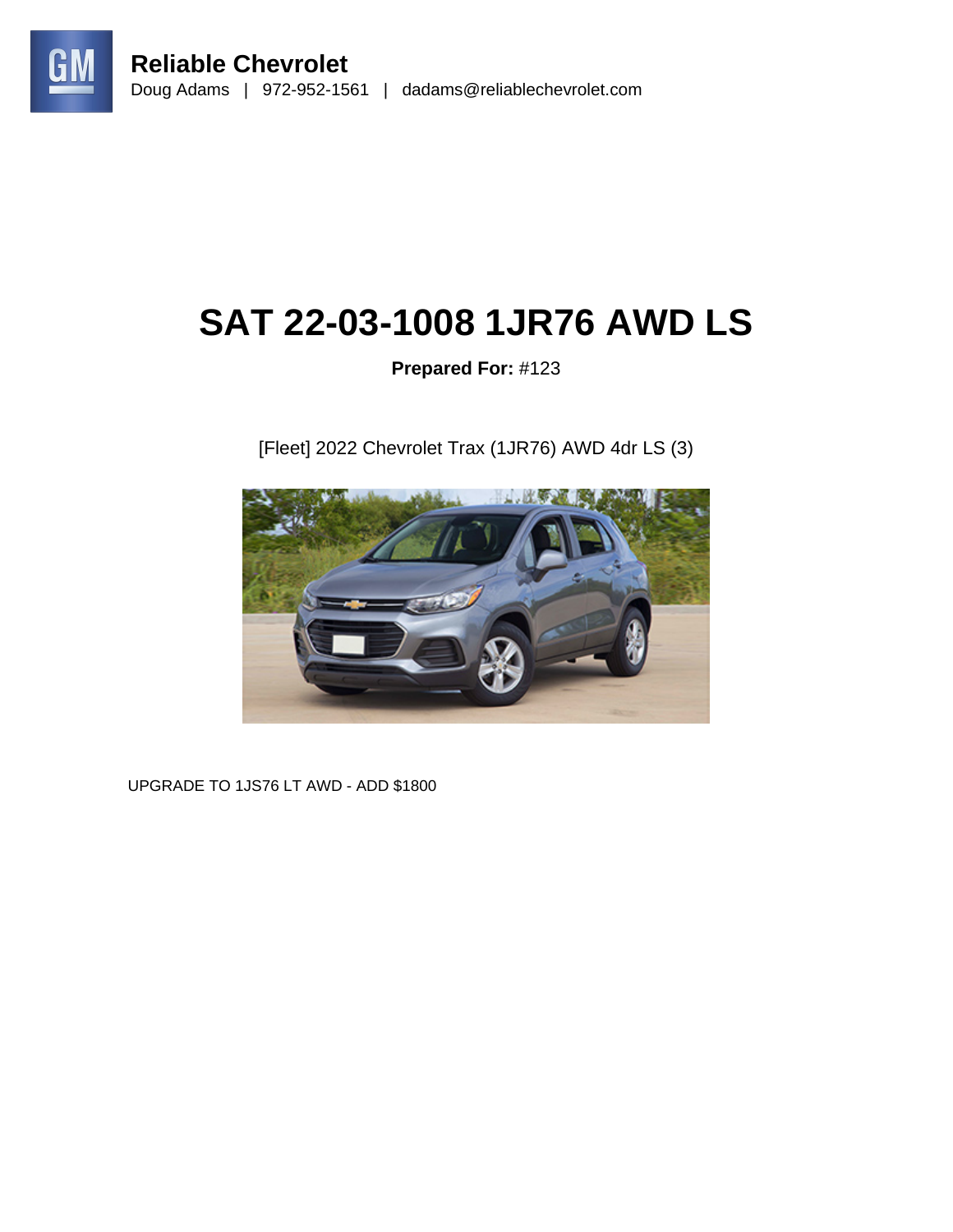

# **SAT 22-03-1008 1JR76 AWD LS**

## **Prepared For:** #123

[Fleet] 2022 Chevrolet Trax (1JR76) AWD 4dr LS (3)



UPGRADE TO 1JS76 LT AWD - ADD \$1800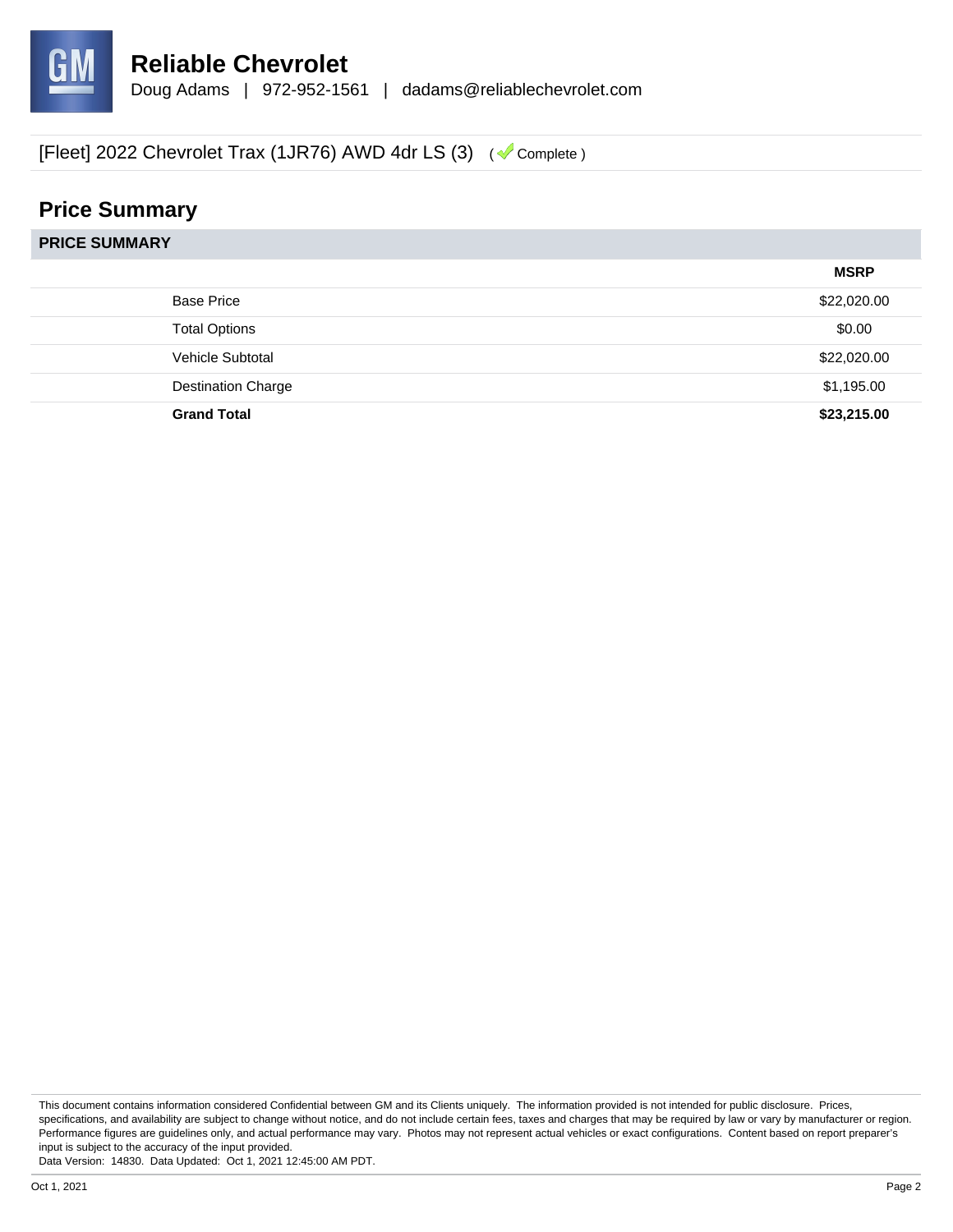

# **Price Summary**

| <b>PRICE SUMMARY</b> |                           |             |  |  |
|----------------------|---------------------------|-------------|--|--|
|                      |                           | <b>MSRP</b> |  |  |
|                      | <b>Base Price</b>         | \$22,020.00 |  |  |
|                      | <b>Total Options</b>      | \$0.00      |  |  |
|                      | Vehicle Subtotal          | \$22,020.00 |  |  |
|                      | <b>Destination Charge</b> | \$1,195.00  |  |  |
|                      | <b>Grand Total</b>        | \$23,215.00 |  |  |
|                      |                           |             |  |  |

This document contains information considered Confidential between GM and its Clients uniquely. The information provided is not intended for public disclosure. Prices, specifications, and availability are subject to change without notice, and do not include certain fees, taxes and charges that may be required by law or vary by manufacturer or region. Performance figures are guidelines only, and actual performance may vary. Photos may not represent actual vehicles or exact configurations. Content based on report preparer's input is subject to the accuracy of the input provided.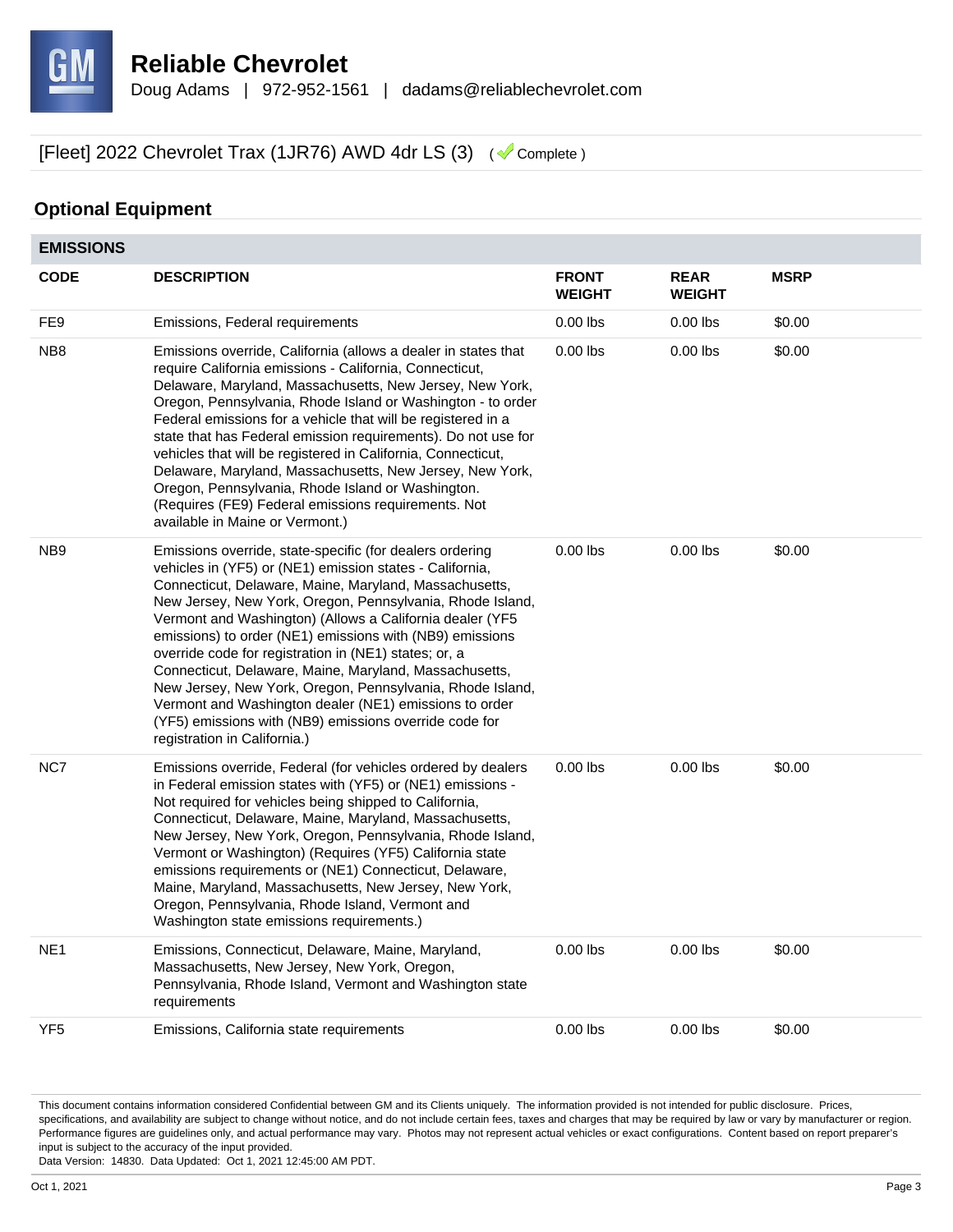

#### **Optional Equipment**

| <b>EMISSIONS</b> |                                                                                                                                                                                                                                                                                                                                                                                                                                                                                                                                                                                                                                                                                                         |                               |                              |             |
|------------------|---------------------------------------------------------------------------------------------------------------------------------------------------------------------------------------------------------------------------------------------------------------------------------------------------------------------------------------------------------------------------------------------------------------------------------------------------------------------------------------------------------------------------------------------------------------------------------------------------------------------------------------------------------------------------------------------------------|-------------------------------|------------------------------|-------------|
| <b>CODE</b>      | <b>DESCRIPTION</b>                                                                                                                                                                                                                                                                                                                                                                                                                                                                                                                                                                                                                                                                                      | <b>FRONT</b><br><b>WEIGHT</b> | <b>REAR</b><br><b>WEIGHT</b> | <b>MSRP</b> |
| FE <sub>9</sub>  | Emissions, Federal requirements                                                                                                                                                                                                                                                                                                                                                                                                                                                                                                                                                                                                                                                                         | $0.00$ lbs                    | $0.00$ lbs                   | \$0.00      |
| NB <sub>8</sub>  | Emissions override, California (allows a dealer in states that<br>require California emissions - California, Connecticut,<br>Delaware, Maryland, Massachusetts, New Jersey, New York,<br>Oregon, Pennsylvania, Rhode Island or Washington - to order<br>Federal emissions for a vehicle that will be registered in a<br>state that has Federal emission requirements). Do not use for<br>vehicles that will be registered in California, Connecticut,<br>Delaware, Maryland, Massachusetts, New Jersey, New York,<br>Oregon, Pennsylvania, Rhode Island or Washington.<br>(Requires (FE9) Federal emissions requirements. Not<br>available in Maine or Vermont.)                                        | $0.00$ lbs                    | $0.00$ lbs                   | \$0.00      |
| NB <sub>9</sub>  | Emissions override, state-specific (for dealers ordering<br>vehicles in (YF5) or (NE1) emission states - California,<br>Connecticut, Delaware, Maine, Maryland, Massachusetts,<br>New Jersey, New York, Oregon, Pennsylvania, Rhode Island,<br>Vermont and Washington) (Allows a California dealer (YF5<br>emissions) to order (NE1) emissions with (NB9) emissions<br>override code for registration in (NE1) states; or, a<br>Connecticut, Delaware, Maine, Maryland, Massachusetts,<br>New Jersey, New York, Oregon, Pennsylvania, Rhode Island,<br>Vermont and Washington dealer (NE1) emissions to order<br>(YF5) emissions with (NB9) emissions override code for<br>registration in California.) | $0.00$ lbs                    | $0.00$ lbs                   | \$0.00      |
| NC7              | Emissions override, Federal (for vehicles ordered by dealers<br>in Federal emission states with (YF5) or (NE1) emissions -<br>Not required for vehicles being shipped to California,<br>Connecticut, Delaware, Maine, Maryland, Massachusetts,<br>New Jersey, New York, Oregon, Pennsylvania, Rhode Island,<br>Vermont or Washington) (Requires (YF5) California state<br>emissions requirements or (NE1) Connecticut, Delaware,<br>Maine, Maryland, Massachusetts, New Jersey, New York,<br>Oregon, Pennsylvania, Rhode Island, Vermont and<br>Washington state emissions requirements.)                                                                                                               | $0.00$ lbs                    | $0.00$ lbs                   | \$0.00      |
| NE <sub>1</sub>  | Emissions, Connecticut, Delaware, Maine, Maryland,<br>Massachusetts, New Jersey, New York, Oregon,<br>Pennsylvania, Rhode Island, Vermont and Washington state<br>requirements                                                                                                                                                                                                                                                                                                                                                                                                                                                                                                                          | $0.00$ lbs                    | $0.00$ lbs                   | \$0.00      |
| YF <sub>5</sub>  | Emissions, California state requirements                                                                                                                                                                                                                                                                                                                                                                                                                                                                                                                                                                                                                                                                | $0.00$ lbs                    | $0.00$ lbs                   | \$0.00      |

This document contains information considered Confidential between GM and its Clients uniquely. The information provided is not intended for public disclosure. Prices, specifications, and availability are subject to change without notice, and do not include certain fees, taxes and charges that may be required by law or vary by manufacturer or region. Performance figures are guidelines only, and actual performance may vary. Photos may not represent actual vehicles or exact configurations. Content based on report preparer's input is subject to the accuracy of the input provided.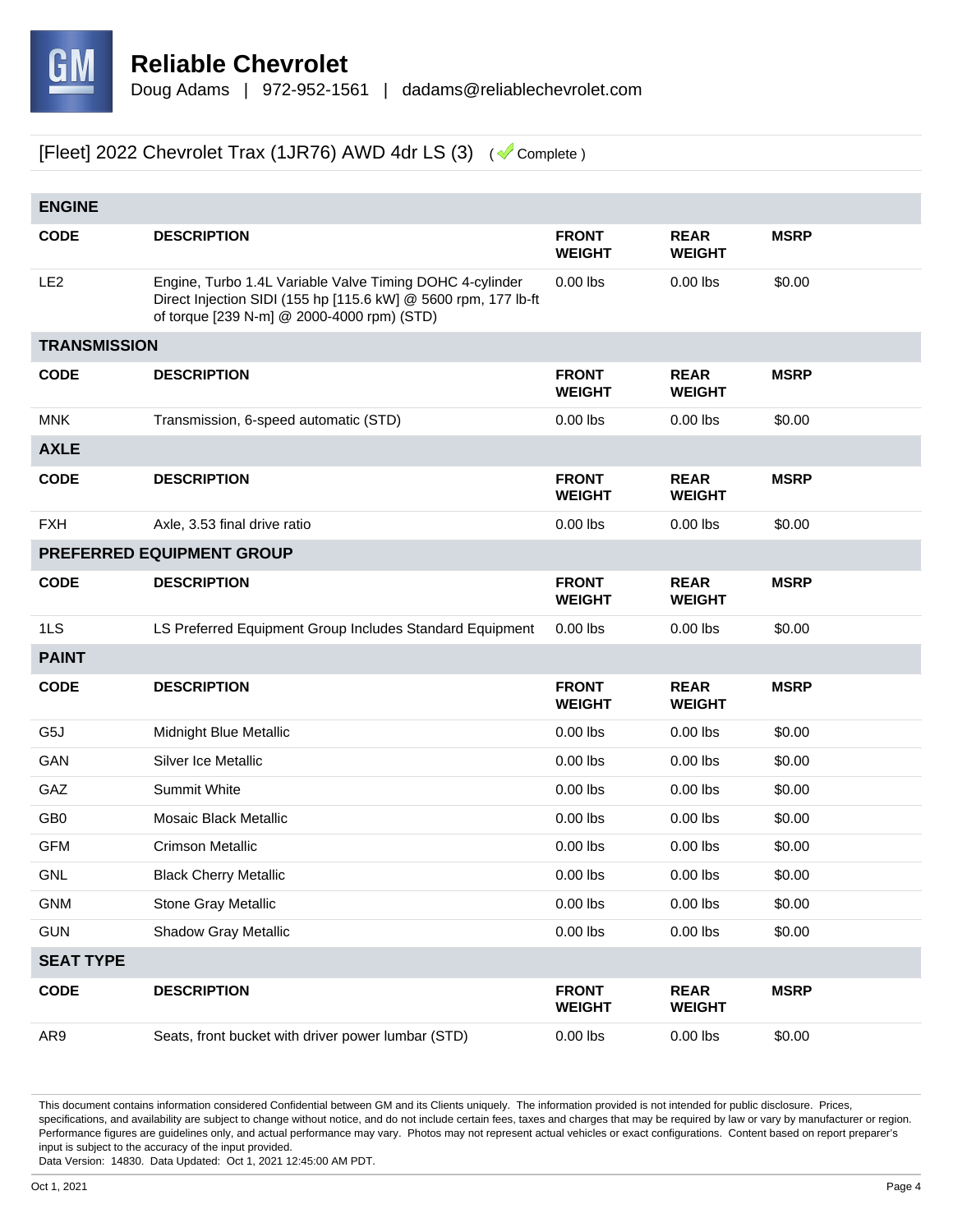

| <b>ENGINE</b>       |                                                                                                                                                                          |                               |                              |             |  |  |
|---------------------|--------------------------------------------------------------------------------------------------------------------------------------------------------------------------|-------------------------------|------------------------------|-------------|--|--|
| <b>CODE</b>         | <b>DESCRIPTION</b>                                                                                                                                                       | <b>FRONT</b><br><b>WEIGHT</b> | <b>REAR</b><br><b>WEIGHT</b> | <b>MSRP</b> |  |  |
| LE <sub>2</sub>     | Engine, Turbo 1.4L Variable Valve Timing DOHC 4-cylinder<br>Direct Injection SIDI (155 hp [115.6 kW] @ 5600 rpm, 177 lb-ft<br>of torque [239 N-m] @ 2000-4000 rpm) (STD) | $0.00$ lbs                    | $0.00$ lbs                   | \$0.00      |  |  |
| <b>TRANSMISSION</b> |                                                                                                                                                                          |                               |                              |             |  |  |
| <b>CODE</b>         | <b>DESCRIPTION</b>                                                                                                                                                       | <b>FRONT</b><br><b>WEIGHT</b> | <b>REAR</b><br><b>WEIGHT</b> | <b>MSRP</b> |  |  |
| <b>MNK</b>          | Transmission, 6-speed automatic (STD)                                                                                                                                    | $0.00$ lbs                    | $0.00$ lbs                   | \$0.00      |  |  |
| <b>AXLE</b>         |                                                                                                                                                                          |                               |                              |             |  |  |
| <b>CODE</b>         | <b>DESCRIPTION</b>                                                                                                                                                       | <b>FRONT</b><br><b>WEIGHT</b> | <b>REAR</b><br><b>WEIGHT</b> | <b>MSRP</b> |  |  |
| <b>FXH</b>          | Axle, 3.53 final drive ratio                                                                                                                                             | $0.00$ lbs                    | $0.00$ lbs                   | \$0.00      |  |  |
|                     | PREFERRED EQUIPMENT GROUP                                                                                                                                                |                               |                              |             |  |  |
| <b>CODE</b>         | <b>DESCRIPTION</b>                                                                                                                                                       | <b>FRONT</b><br><b>WEIGHT</b> | <b>REAR</b><br><b>WEIGHT</b> | <b>MSRP</b> |  |  |
| 1LS                 | LS Preferred Equipment Group Includes Standard Equipment                                                                                                                 | $0.00$ lbs                    | $0.00$ lbs                   | \$0.00      |  |  |
| <b>PAINT</b>        |                                                                                                                                                                          |                               |                              |             |  |  |
| <b>CODE</b>         | <b>DESCRIPTION</b>                                                                                                                                                       | <b>FRONT</b><br><b>WEIGHT</b> | <b>REAR</b><br><b>WEIGHT</b> | <b>MSRP</b> |  |  |
| G5J                 | Midnight Blue Metallic                                                                                                                                                   | $0.00$ lbs                    | $0.00$ lbs                   | \$0.00      |  |  |
| GAN                 | Silver Ice Metallic                                                                                                                                                      | $0.00$ lbs                    | $0.00$ lbs                   | \$0.00      |  |  |
| GAZ                 | Summit White                                                                                                                                                             | $0.00$ lbs                    | $0.00$ lbs                   | \$0.00      |  |  |
| GB <sub>0</sub>     | Mosaic Black Metallic                                                                                                                                                    | $0.00$ lbs                    | $0.00$ lbs                   | \$0.00      |  |  |
| <b>GFM</b>          | <b>Crimson Metallic</b>                                                                                                                                                  | $0.00$ lbs                    | $0.00$ lbs                   | \$0.00      |  |  |
| <b>GNL</b>          | <b>Black Cherry Metallic</b>                                                                                                                                             | $0.00$ lbs                    | $0.00$ lbs                   | \$0.00      |  |  |
| <b>GNM</b>          | Stone Gray Metallic                                                                                                                                                      | $0.00$ lbs                    | $0.00$ lbs                   | \$0.00      |  |  |
| <b>GUN</b>          | Shadow Gray Metallic                                                                                                                                                     | $0.00$ lbs                    | $0.00$ lbs                   | \$0.00      |  |  |
| <b>SEAT TYPE</b>    |                                                                                                                                                                          |                               |                              |             |  |  |
| <b>CODE</b>         | <b>DESCRIPTION</b>                                                                                                                                                       | <b>FRONT</b><br><b>WEIGHT</b> | <b>REAR</b><br><b>WEIGHT</b> | <b>MSRP</b> |  |  |
| AR9                 | Seats, front bucket with driver power lumbar (STD)                                                                                                                       | $0.00$ lbs                    | $0.00$ lbs                   | \$0.00      |  |  |

This document contains information considered Confidential between GM and its Clients uniquely. The information provided is not intended for public disclosure. Prices, specifications, and availability are subject to change without notice, and do not include certain fees, taxes and charges that may be required by law or vary by manufacturer or region. Performance figures are guidelines only, and actual performance may vary. Photos may not represent actual vehicles or exact configurations. Content based on report preparer's input is subject to the accuracy of the input provided.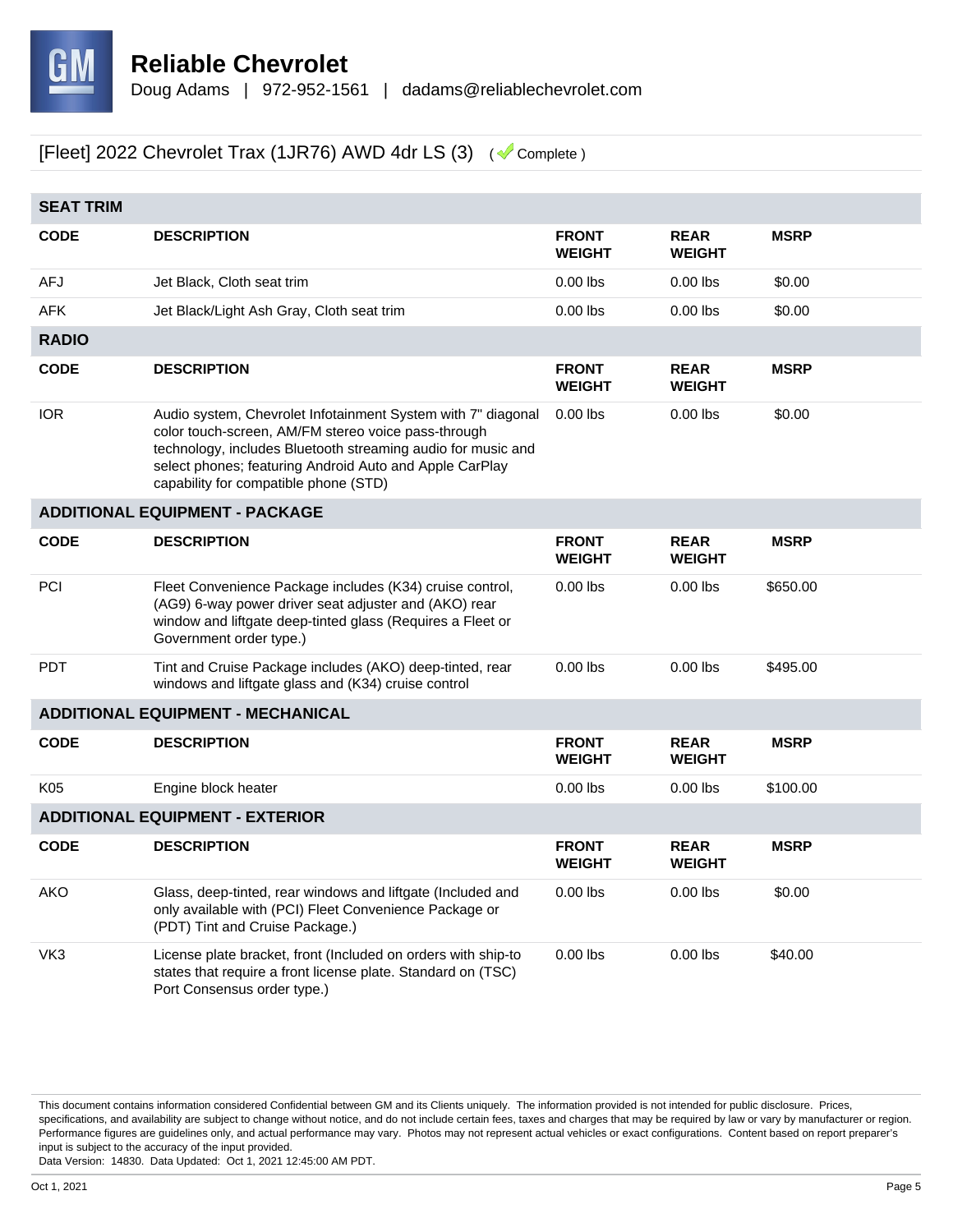

| <b>SEAT TRIM</b> |                                                                                                                                                                                                                                                                                         |                               |                              |             |  |
|------------------|-----------------------------------------------------------------------------------------------------------------------------------------------------------------------------------------------------------------------------------------------------------------------------------------|-------------------------------|------------------------------|-------------|--|
| <b>CODE</b>      | <b>DESCRIPTION</b>                                                                                                                                                                                                                                                                      | <b>FRONT</b><br><b>WEIGHT</b> | <b>REAR</b><br><b>WEIGHT</b> | <b>MSRP</b> |  |
| AFJ              | Jet Black, Cloth seat trim                                                                                                                                                                                                                                                              | $0.00$ lbs                    | $0.00$ lbs                   | \$0.00      |  |
| <b>AFK</b>       | Jet Black/Light Ash Gray, Cloth seat trim                                                                                                                                                                                                                                               | $0.00$ lbs                    | $0.00$ lbs                   | \$0.00      |  |
| <b>RADIO</b>     |                                                                                                                                                                                                                                                                                         |                               |                              |             |  |
| <b>CODE</b>      | <b>DESCRIPTION</b>                                                                                                                                                                                                                                                                      | <b>FRONT</b><br><b>WEIGHT</b> | <b>REAR</b><br><b>WEIGHT</b> | <b>MSRP</b> |  |
| <b>IOR</b>       | Audio system, Chevrolet Infotainment System with 7" diagonal<br>color touch-screen, AM/FM stereo voice pass-through<br>technology, includes Bluetooth streaming audio for music and<br>select phones; featuring Android Auto and Apple CarPlay<br>capability for compatible phone (STD) | $0.00$ lbs                    | $0.00$ lbs                   | \$0.00      |  |
|                  | <b>ADDITIONAL EQUIPMENT - PACKAGE</b>                                                                                                                                                                                                                                                   |                               |                              |             |  |
| <b>CODE</b>      | <b>DESCRIPTION</b>                                                                                                                                                                                                                                                                      | <b>FRONT</b><br><b>WEIGHT</b> | <b>REAR</b><br><b>WEIGHT</b> | <b>MSRP</b> |  |
| PCI              | Fleet Convenience Package includes (K34) cruise control,<br>(AG9) 6-way power driver seat adjuster and (AKO) rear<br>window and liftgate deep-tinted glass (Requires a Fleet or<br>Government order type.)                                                                              | $0.00$ lbs                    | $0.00$ lbs                   | \$650.00    |  |
| <b>PDT</b>       | Tint and Cruise Package includes (AKO) deep-tinted, rear<br>windows and liftgate glass and (K34) cruise control                                                                                                                                                                         | $0.00$ lbs                    | $0.00$ lbs                   | \$495.00    |  |
|                  | <b>ADDITIONAL EQUIPMENT - MECHANICAL</b>                                                                                                                                                                                                                                                |                               |                              |             |  |
| <b>CODE</b>      | <b>DESCRIPTION</b>                                                                                                                                                                                                                                                                      | <b>FRONT</b><br><b>WEIGHT</b> | <b>REAR</b><br><b>WEIGHT</b> | <b>MSRP</b> |  |
| K05              | Engine block heater                                                                                                                                                                                                                                                                     | $0.00$ lbs                    | $0.00$ lbs                   | \$100.00    |  |
|                  | <b>ADDITIONAL EQUIPMENT - EXTERIOR</b>                                                                                                                                                                                                                                                  |                               |                              |             |  |
| <b>CODE</b>      | <b>DESCRIPTION</b>                                                                                                                                                                                                                                                                      | <b>FRONT</b><br><b>WEIGHT</b> | <b>REAR</b><br><b>WEIGHT</b> | <b>MSRP</b> |  |
| <b>AKO</b>       | Glass, deep-tinted, rear windows and liftgate (Included and<br>only available with (PCI) Fleet Convenience Package or<br>(PDT) Tint and Cruise Package.)                                                                                                                                | $0.00$ lbs                    | $0.00$ lbs                   | \$0.00      |  |
| VK3              | License plate bracket, front (Included on orders with ship-to<br>states that require a front license plate. Standard on (TSC)<br>Port Consensus order type.)                                                                                                                            | $0.00$ lbs                    | $0.00$ lbs                   | \$40.00     |  |

This document contains information considered Confidential between GM and its Clients uniquely. The information provided is not intended for public disclosure. Prices, specifications, and availability are subject to change without notice, and do not include certain fees, taxes and charges that may be required by law or vary by manufacturer or region. Performance figures are guidelines only, and actual performance may vary. Photos may not represent actual vehicles or exact configurations. Content based on report preparer's input is subject to the accuracy of the input provided.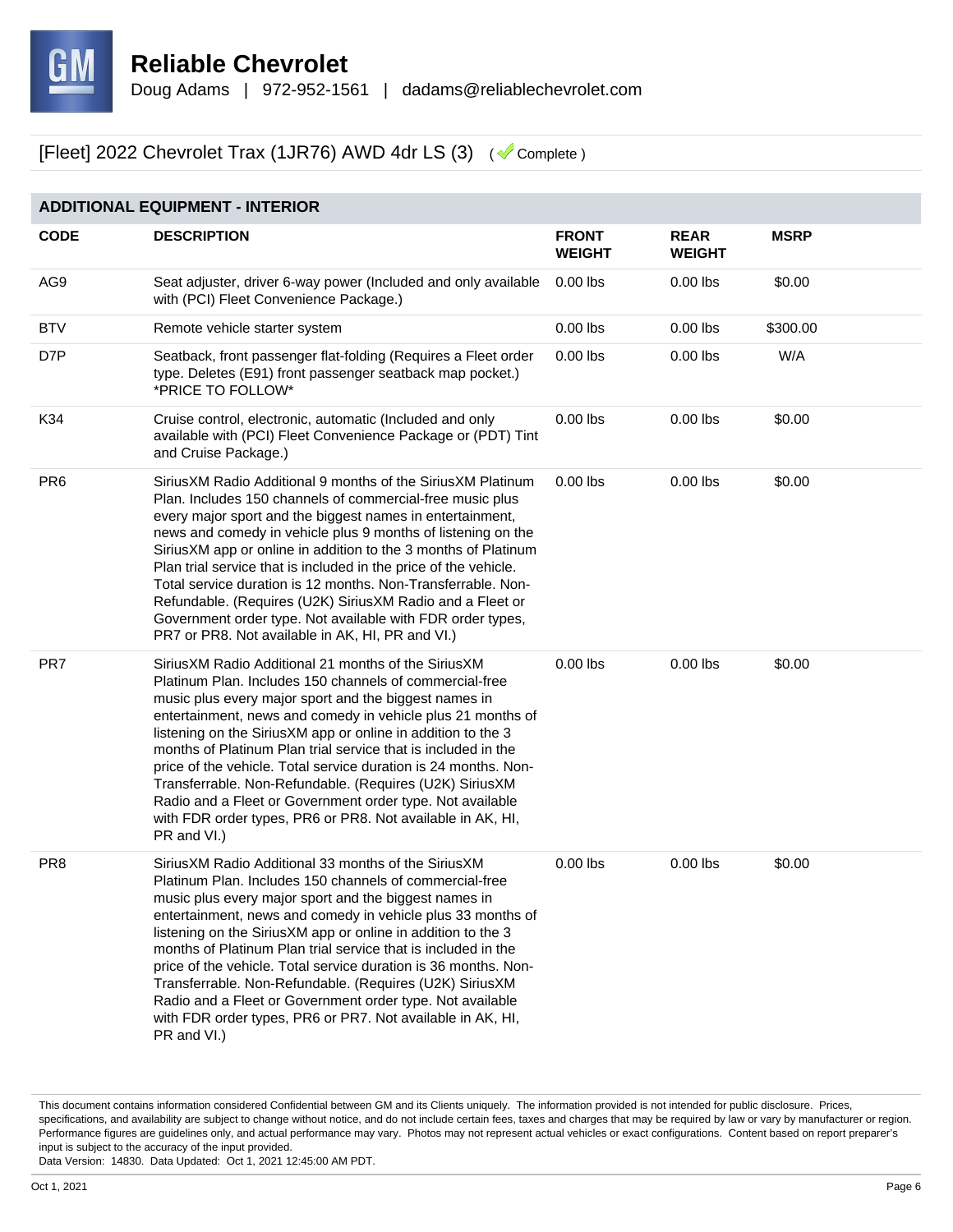

#### **ADDITIONAL EQUIPMENT - INTERIOR**

| <b>CODE</b>     | <b>DESCRIPTION</b>                                                                                                                                                                                                                                                                                                                                                                                                                                                                                                                                                                                                                              | <b>FRONT</b><br><b>WEIGHT</b> | <b>REAR</b><br><b>WEIGHT</b> | <b>MSRP</b> |
|-----------------|-------------------------------------------------------------------------------------------------------------------------------------------------------------------------------------------------------------------------------------------------------------------------------------------------------------------------------------------------------------------------------------------------------------------------------------------------------------------------------------------------------------------------------------------------------------------------------------------------------------------------------------------------|-------------------------------|------------------------------|-------------|
| AG9             | Seat adjuster, driver 6-way power (Included and only available<br>with (PCI) Fleet Convenience Package.)                                                                                                                                                                                                                                                                                                                                                                                                                                                                                                                                        | $0.00$ lbs                    | $0.00$ lbs                   | \$0.00      |
| <b>BTV</b>      | Remote vehicle starter system                                                                                                                                                                                                                                                                                                                                                                                                                                                                                                                                                                                                                   | $0.00$ lbs                    | $0.00$ lbs                   | \$300.00    |
| D7P             | Seatback, front passenger flat-folding (Requires a Fleet order<br>type. Deletes (E91) front passenger seatback map pocket.)<br>*PRICE TO FOLLOW*                                                                                                                                                                                                                                                                                                                                                                                                                                                                                                | $0.00$ lbs                    | $0.00$ lbs                   | W/A         |
| K34             | Cruise control, electronic, automatic (Included and only<br>available with (PCI) Fleet Convenience Package or (PDT) Tint<br>and Cruise Package.)                                                                                                                                                                                                                                                                                                                                                                                                                                                                                                | $0.00$ lbs                    | $0.00$ lbs                   | \$0.00      |
| PR <sub>6</sub> | Sirius XM Radio Additional 9 months of the Sirius XM Platinum<br>Plan. Includes 150 channels of commercial-free music plus<br>every major sport and the biggest names in entertainment,<br>news and comedy in vehicle plus 9 months of listening on the<br>Sirius XM app or online in addition to the 3 months of Platinum<br>Plan trial service that is included in the price of the vehicle.<br>Total service duration is 12 months. Non-Transferrable. Non-<br>Refundable. (Requires (U2K) SiriusXM Radio and a Fleet or<br>Government order type. Not available with FDR order types,<br>PR7 or PR8. Not available in AK, HI, PR and VI.)   | $0.00$ lbs                    | $0.00$ lbs                   | \$0.00      |
| PR7             | SiriusXM Radio Additional 21 months of the SiriusXM<br>Platinum Plan. Includes 150 channels of commercial-free<br>music plus every major sport and the biggest names in<br>entertainment, news and comedy in vehicle plus 21 months of<br>listening on the SiriusXM app or online in addition to the 3<br>months of Platinum Plan trial service that is included in the<br>price of the vehicle. Total service duration is 24 months. Non-<br>Transferrable. Non-Refundable. (Requires (U2K) SiriusXM<br>Radio and a Fleet or Government order type. Not available<br>with FDR order types, PR6 or PR8. Not available in AK, HI,<br>PR and VI.) | $0.00$ lbs                    | $0.00$ lbs                   | \$0.00      |
| PR <sub>8</sub> | SiriusXM Radio Additional 33 months of the SiriusXM<br>Platinum Plan. Includes 150 channels of commercial-free<br>music plus every major sport and the biggest names in<br>entertainment, news and comedy in vehicle plus 33 months of<br>listening on the SiriusXM app or online in addition to the 3<br>months of Platinum Plan trial service that is included in the<br>price of the vehicle. Total service duration is 36 months. Non-<br>Transferrable. Non-Refundable. (Requires (U2K) SiriusXM<br>Radio and a Fleet or Government order type. Not available<br>with FDR order types, PR6 or PR7. Not available in AK, HI,<br>PR and VI.) | $0.00$ lbs                    | $0.00$ lbs                   | \$0.00      |

This document contains information considered Confidential between GM and its Clients uniquely. The information provided is not intended for public disclosure. Prices, specifications, and availability are subject to change without notice, and do not include certain fees, taxes and charges that may be required by law or vary by manufacturer or region. Performance figures are guidelines only, and actual performance may vary. Photos may not represent actual vehicles or exact configurations. Content based on report preparer's input is subject to the accuracy of the input provided.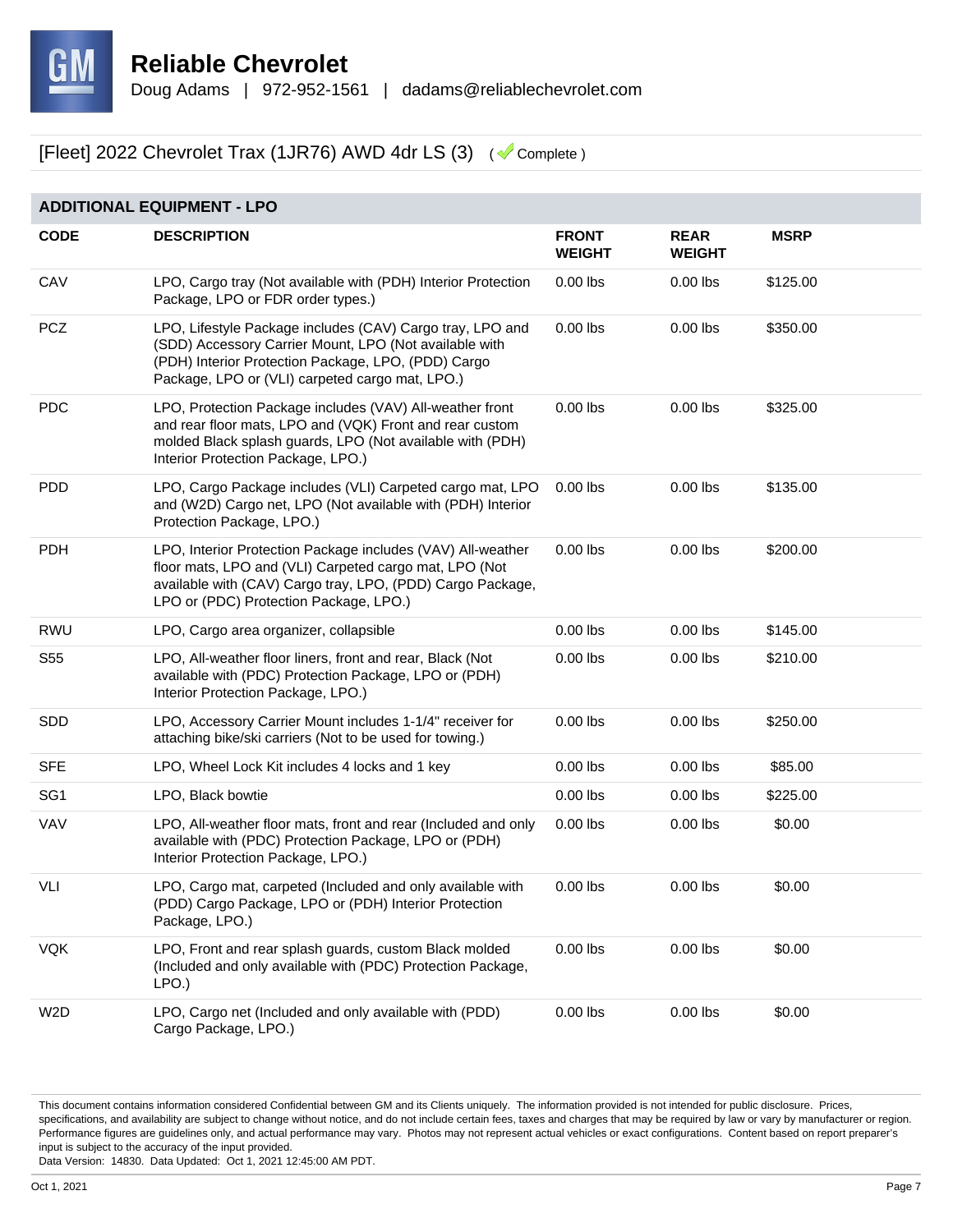

| <b>ADDITIONAL EQUIPMENT - LPO</b> |                                                                                                                                                                                                                               |                               |                              |             |  |
|-----------------------------------|-------------------------------------------------------------------------------------------------------------------------------------------------------------------------------------------------------------------------------|-------------------------------|------------------------------|-------------|--|
| <b>CODE</b>                       | <b>DESCRIPTION</b>                                                                                                                                                                                                            | <b>FRONT</b><br><b>WEIGHT</b> | <b>REAR</b><br><b>WEIGHT</b> | <b>MSRP</b> |  |
| CAV                               | LPO, Cargo tray (Not available with (PDH) Interior Protection<br>Package, LPO or FDR order types.)                                                                                                                            | $0.00$ lbs                    | $0.00$ lbs                   | \$125.00    |  |
| <b>PCZ</b>                        | LPO, Lifestyle Package includes (CAV) Cargo tray, LPO and<br>(SDD) Accessory Carrier Mount, LPO (Not available with<br>(PDH) Interior Protection Package, LPO, (PDD) Cargo<br>Package, LPO or (VLI) carpeted cargo mat, LPO.) | $0.00$ lbs                    | $0.00$ lbs                   | \$350.00    |  |
| <b>PDC</b>                        | LPO, Protection Package includes (VAV) All-weather front<br>and rear floor mats, LPO and (VQK) Front and rear custom<br>molded Black splash guards, LPO (Not available with (PDH)<br>Interior Protection Package, LPO.)       | $0.00$ lbs                    | $0.00$ lbs                   | \$325.00    |  |
| <b>PDD</b>                        | LPO, Cargo Package includes (VLI) Carpeted cargo mat, LPO<br>and (W2D) Cargo net, LPO (Not available with (PDH) Interior<br>Protection Package, LPO.)                                                                         | $0.00$ lbs                    | $0.00$ lbs                   | \$135.00    |  |
| <b>PDH</b>                        | LPO, Interior Protection Package includes (VAV) All-weather<br>floor mats, LPO and (VLI) Carpeted cargo mat, LPO (Not<br>available with (CAV) Cargo tray, LPO, (PDD) Cargo Package,<br>LPO or (PDC) Protection Package, LPO.) | $0.00$ lbs                    | $0.00$ lbs                   | \$200.00    |  |
| <b>RWU</b>                        | LPO, Cargo area organizer, collapsible                                                                                                                                                                                        | $0.00$ lbs                    | $0.00$ lbs                   | \$145.00    |  |
| S <sub>55</sub>                   | LPO, All-weather floor liners, front and rear, Black (Not<br>available with (PDC) Protection Package, LPO or (PDH)<br>Interior Protection Package, LPO.)                                                                      | $0.00$ lbs                    | $0.00$ lbs                   | \$210.00    |  |
| <b>SDD</b>                        | LPO, Accessory Carrier Mount includes 1-1/4" receiver for<br>attaching bike/ski carriers (Not to be used for towing.)                                                                                                         | $0.00$ lbs                    | $0.00$ lbs                   | \$250.00    |  |
| <b>SFE</b>                        | LPO, Wheel Lock Kit includes 4 locks and 1 key                                                                                                                                                                                | $0.00$ lbs                    | $0.00$ lbs                   | \$85.00     |  |
| SG <sub>1</sub>                   | LPO, Black bowtie                                                                                                                                                                                                             | $0.00$ lbs                    | $0.00$ lbs                   | \$225.00    |  |
| VAV                               | LPO, All-weather floor mats, front and rear (Included and only<br>available with (PDC) Protection Package, LPO or (PDH)<br>Interior Protection Package, LPO.)                                                                 | $0.00$ lbs                    | $0.00$ lbs                   | \$0.00      |  |
| VLI                               | LPO, Cargo mat, carpeted (Included and only available with<br>(PDD) Cargo Package, LPO or (PDH) Interior Protection<br>Package, LPO.)                                                                                         | $0.00$ lbs                    | $0.00$ lbs                   | \$0.00      |  |
| <b>VQK</b>                        | LPO, Front and rear splash guards, custom Black molded<br>(Included and only available with (PDC) Protection Package,<br>LPO.                                                                                                 | $0.00$ lbs                    | $0.00$ lbs                   | \$0.00      |  |
| W <sub>2</sub> D                  | LPO, Cargo net (Included and only available with (PDD)<br>Cargo Package, LPO.)                                                                                                                                                | $0.00$ lbs                    | $0.00$ lbs                   | \$0.00      |  |

This document contains information considered Confidential between GM and its Clients uniquely. The information provided is not intended for public disclosure. Prices, specifications, and availability are subject to change without notice, and do not include certain fees, taxes and charges that may be required by law or vary by manufacturer or region. Performance figures are guidelines only, and actual performance may vary. Photos may not represent actual vehicles or exact configurations. Content based on report preparer's input is subject to the accuracy of the input provided.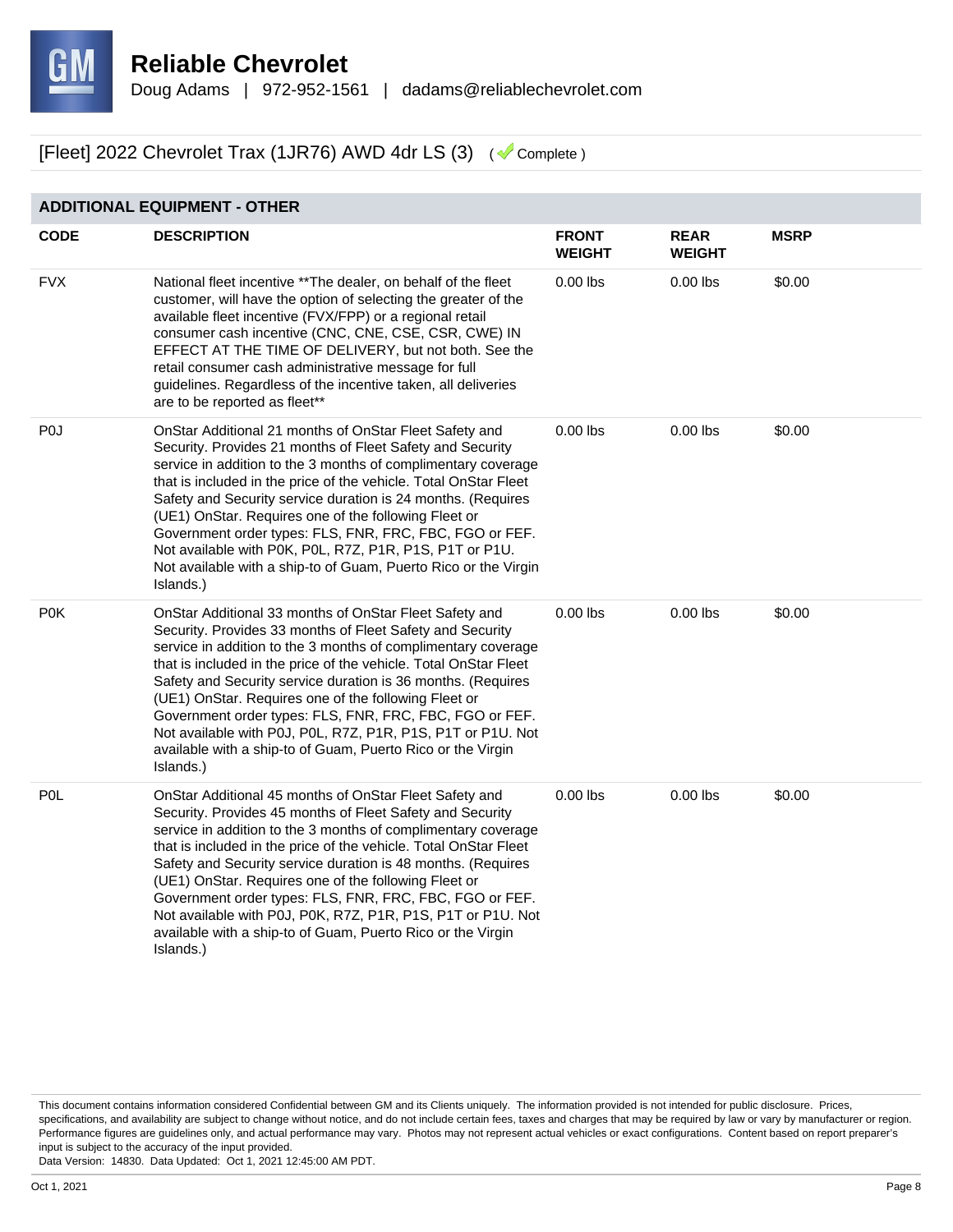

**ADDITIONAL EQUIPMENT - OTHER**

#### [Fleet] 2022 Chevrolet Trax (1JR76) AWD 4dr LS (3) ( Complete )

#### **CODE DESCRIPTION FRONT WEIGHT REAR WEIGHT MSRP** FVX National fleet incentive \*\*The dealer, on behalf of the fleet customer, will have the option of selecting the greater of the available fleet incentive (FVX/FPP) or a regional retail consumer cash incentive (CNC, CNE, CSE, CSR, CWE) IN EFFECT AT THE TIME OF DELIVERY, but not both. See the retail consumer cash administrative message for full guidelines. Regardless of the incentive taken, all deliveries are to be reported as fleet\*\* 0.00 lbs 0.00 lbs \$0.00 P0J OnStar Additional 21 months of OnStar Fleet Safety and Security. Provides 21 months of Fleet Safety and Security service in addition to the 3 months of complimentary coverage that is included in the price of the vehicle. Total OnStar Fleet Safety and Security service duration is 24 months. (Requires (UE1) OnStar. Requires one of the following Fleet or Government order types: FLS, FNR, FRC, FBC, FGO or FEF. Not available with P0K, P0L, R7Z, P1R, P1S, P1T or P1U. Not available with a ship-to of Guam, Puerto Rico or the Virgin Islands.) 0.00 lbs 0.00 lbs \$0.00 P0K **OnStar Additional 33 months of OnStar Fleet Safety and** Security. Provides 33 months of Fleet Safety and Security service in addition to the 3 months of complimentary coverage that is included in the price of the vehicle. Total OnStar Fleet Safety and Security service duration is 36 months. (Requires (UE1) OnStar. Requires one of the following Fleet or Government order types: FLS, FNR, FRC, FBC, FGO or FEF. Not available with P0J, P0L, R7Z, P1R, P1S, P1T or P1U. Not available with a ship-to of Guam, Puerto Rico or the Virgin Islands.) 0.00 lbs 0.00 lbs \$0.00 P0L OnStar Additional 45 months of OnStar Fleet Safety and Security. Provides 45 months of Fleet Safety and Security service in addition to the 3 months of complimentary coverage that is included in the price of the vehicle. Total OnStar Fleet Safety and Security service duration is 48 months. (Requires (UE1) OnStar. Requires one of the following Fleet or Government order types: FLS, FNR, FRC, FBC, FGO or FEF. 0.00 lbs 0.00 lbs \$0.00

Not available with P0J, P0K, R7Z, P1R, P1S, P1T or P1U. Not available with a ship-to of Guam, Puerto Rico or the Virgin

This document contains information considered Confidential between GM and its Clients uniquely. The information provided is not intended for public disclosure. Prices, specifications, and availability are subject to change without notice, and do not include certain fees, taxes and charges that may be required by law or vary by manufacturer or region. Performance figures are guidelines only, and actual performance may vary. Photos may not represent actual vehicles or exact configurations. Content based on report preparer's input is subject to the accuracy of the input provided.

Data Version: 14830. Data Updated: Oct 1, 2021 12:45:00 AM PDT.

Islands.)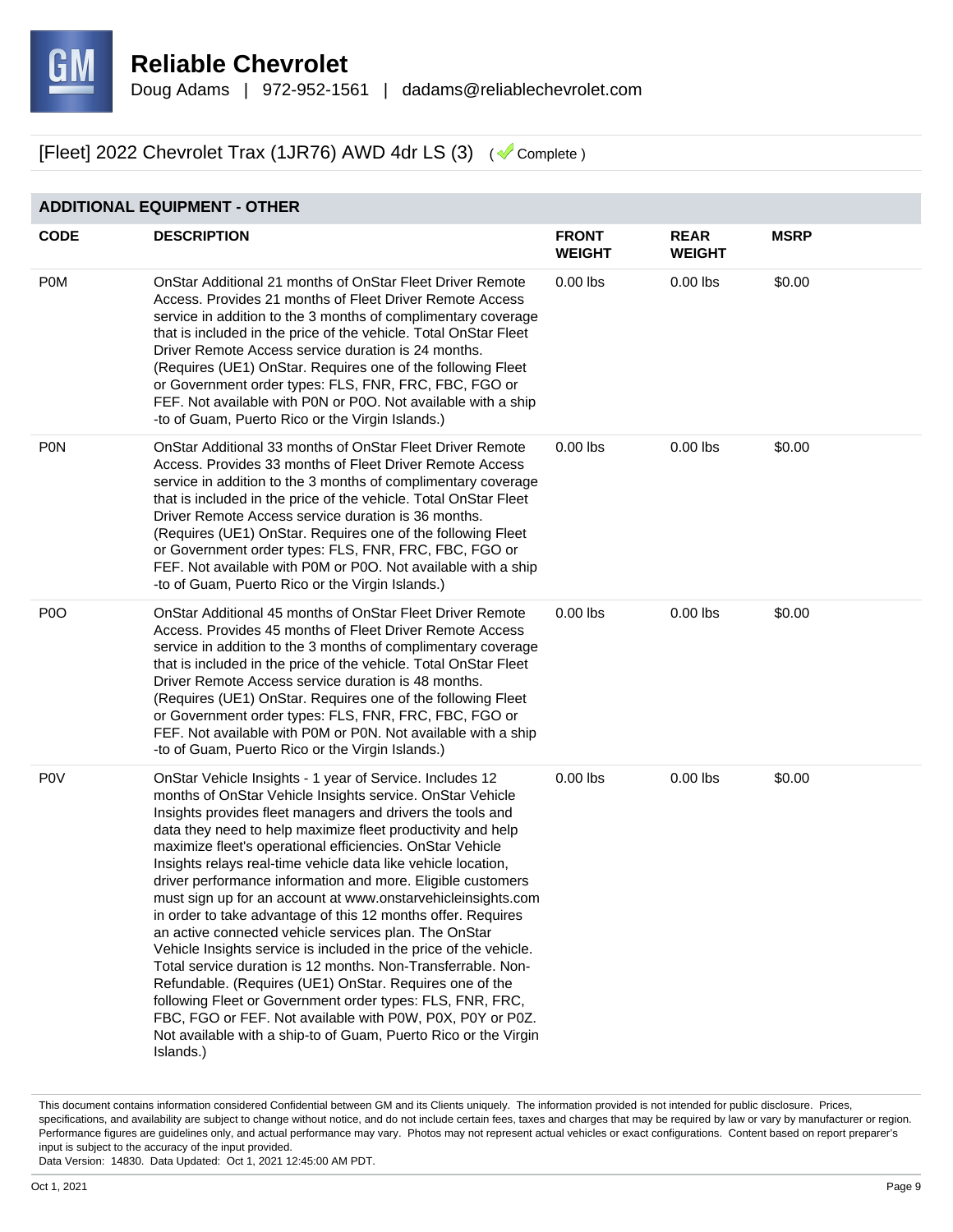

#### **ADDITIONAL EQUIPMENT - OTHER**

| <b>CODE</b>    | <b>DESCRIPTION</b>                                                                                                                                                                                                                                                                                                                                                                                                                                                                                                                                                                                                                                                                                                                                                                                                                                                                                                                                                                                                                                 | <b>FRONT</b><br><b>WEIGHT</b> | <b>REAR</b><br><b>WEIGHT</b> | <b>MSRP</b> |
|----------------|----------------------------------------------------------------------------------------------------------------------------------------------------------------------------------------------------------------------------------------------------------------------------------------------------------------------------------------------------------------------------------------------------------------------------------------------------------------------------------------------------------------------------------------------------------------------------------------------------------------------------------------------------------------------------------------------------------------------------------------------------------------------------------------------------------------------------------------------------------------------------------------------------------------------------------------------------------------------------------------------------------------------------------------------------|-------------------------------|------------------------------|-------------|
| <b>POM</b>     | OnStar Additional 21 months of OnStar Fleet Driver Remote<br>Access. Provides 21 months of Fleet Driver Remote Access<br>service in addition to the 3 months of complimentary coverage<br>that is included in the price of the vehicle. Total OnStar Fleet<br>Driver Remote Access service duration is 24 months.<br>(Requires (UE1) OnStar. Requires one of the following Fleet<br>or Government order types: FLS, FNR, FRC, FBC, FGO or<br>FEF. Not available with P0N or P0O. Not available with a ship<br>-to of Guam, Puerto Rico or the Virgin Islands.)                                                                                                                                                                                                                                                                                                                                                                                                                                                                                     | $0.00$ lbs                    | $0.00$ lbs                   | \$0.00      |
| <b>PON</b>     | OnStar Additional 33 months of OnStar Fleet Driver Remote<br>Access. Provides 33 months of Fleet Driver Remote Access<br>service in addition to the 3 months of complimentary coverage<br>that is included in the price of the vehicle. Total OnStar Fleet<br>Driver Remote Access service duration is 36 months.<br>(Requires (UE1) OnStar. Requires one of the following Fleet<br>or Government order types: FLS, FNR, FRC, FBC, FGO or<br>FEF. Not available with P0M or P0O. Not available with a ship<br>-to of Guam, Puerto Rico or the Virgin Islands.)                                                                                                                                                                                                                                                                                                                                                                                                                                                                                     | $0.00$ lbs                    | $0.00$ lbs                   | \$0.00      |
| P <sub>0</sub> | OnStar Additional 45 months of OnStar Fleet Driver Remote<br>Access. Provides 45 months of Fleet Driver Remote Access<br>service in addition to the 3 months of complimentary coverage<br>that is included in the price of the vehicle. Total OnStar Fleet<br>Driver Remote Access service duration is 48 months.<br>(Requires (UE1) OnStar. Requires one of the following Fleet<br>or Government order types: FLS, FNR, FRC, FBC, FGO or<br>FEF. Not available with P0M or P0N. Not available with a ship<br>-to of Guam, Puerto Rico or the Virgin Islands.)                                                                                                                                                                                                                                                                                                                                                                                                                                                                                     | $0.00$ lbs                    | $0.00$ lbs                   | \$0.00      |
| <b>POV</b>     | OnStar Vehicle Insights - 1 year of Service. Includes 12<br>months of OnStar Vehicle Insights service. OnStar Vehicle<br>Insights provides fleet managers and drivers the tools and<br>data they need to help maximize fleet productivity and help<br>maximize fleet's operational efficiencies. OnStar Vehicle<br>Insights relays real-time vehicle data like vehicle location,<br>driver performance information and more. Eligible customers<br>must sign up for an account at www.onstarvehicleinsights.com<br>in order to take advantage of this 12 months offer. Requires<br>an active connected vehicle services plan. The OnStar<br>Vehicle Insights service is included in the price of the vehicle.<br>Total service duration is 12 months. Non-Transferrable. Non-<br>Refundable. (Requires (UE1) OnStar. Requires one of the<br>following Fleet or Government order types: FLS, FNR, FRC,<br>FBC, FGO or FEF. Not available with P0W, P0X, P0Y or P0Z.<br>Not available with a ship-to of Guam, Puerto Rico or the Virgin<br>Islands.) | $0.00$ lbs                    | $0.00$ lbs                   | \$0.00      |

This document contains information considered Confidential between GM and its Clients uniquely. The information provided is not intended for public disclosure. Prices, specifications, and availability are subject to change without notice, and do not include certain fees, taxes and charges that may be required by law or vary by manufacturer or region. Performance figures are guidelines only, and actual performance may vary. Photos may not represent actual vehicles or exact configurations. Content based on report preparer's input is subject to the accuracy of the input provided.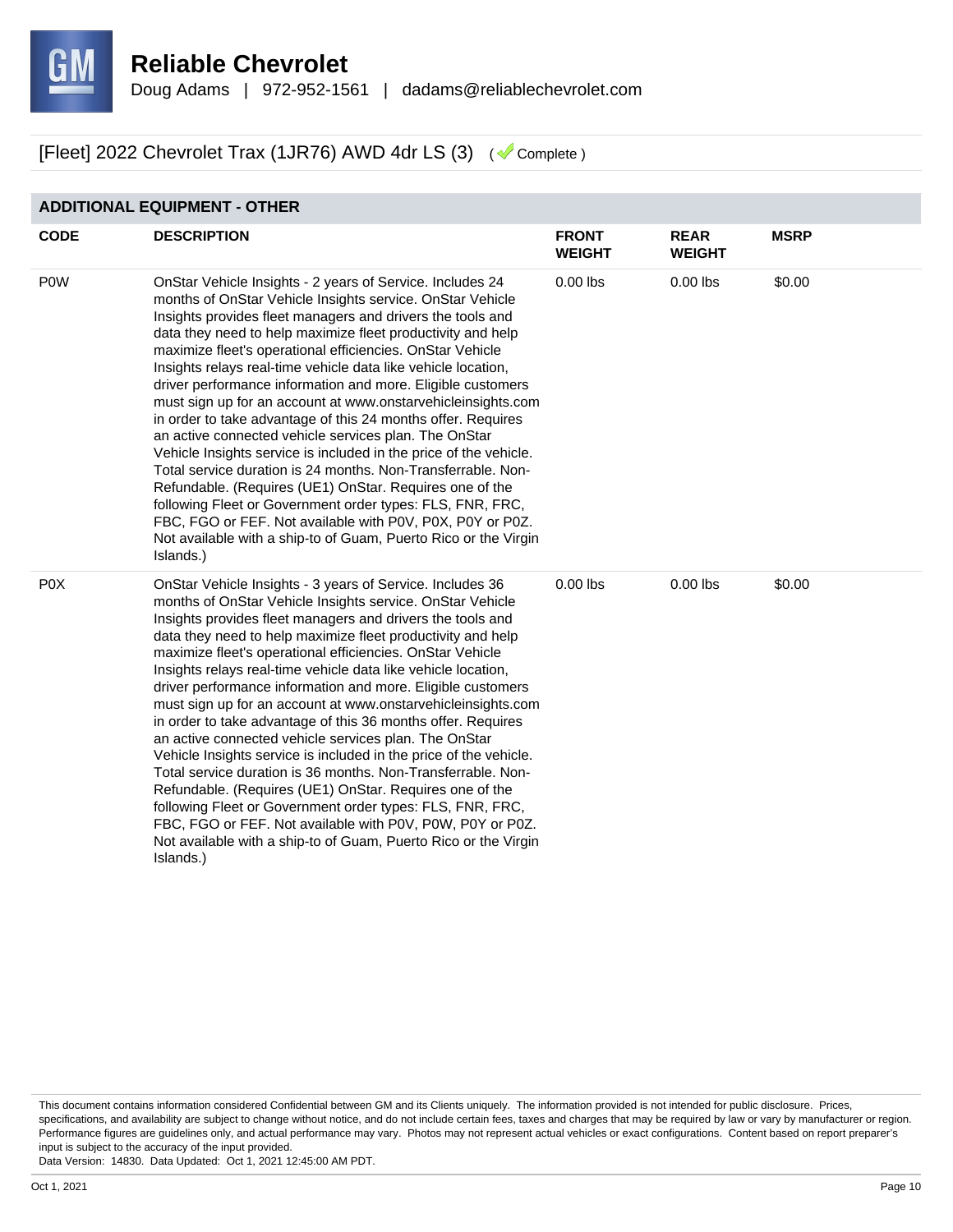

#### **ADDITIONAL EQUIPMENT - OTHER**

| <b>CODE</b>      | <b>DESCRIPTION</b>                                                                                                                                                                                                                                                                                                                                                                                                                                                                                                                                                                                                                                                                                                                                                                                                                                                                                                                                                                                                                                  | <b>FRONT</b><br><b>WEIGHT</b> | <b>REAR</b><br><b>WEIGHT</b> | <b>MSRP</b> |
|------------------|-----------------------------------------------------------------------------------------------------------------------------------------------------------------------------------------------------------------------------------------------------------------------------------------------------------------------------------------------------------------------------------------------------------------------------------------------------------------------------------------------------------------------------------------------------------------------------------------------------------------------------------------------------------------------------------------------------------------------------------------------------------------------------------------------------------------------------------------------------------------------------------------------------------------------------------------------------------------------------------------------------------------------------------------------------|-------------------------------|------------------------------|-------------|
| <b>POW</b>       | OnStar Vehicle Insights - 2 years of Service. Includes 24<br>months of OnStar Vehicle Insights service. OnStar Vehicle<br>Insights provides fleet managers and drivers the tools and<br>data they need to help maximize fleet productivity and help<br>maximize fleet's operational efficiencies. OnStar Vehicle<br>Insights relays real-time vehicle data like vehicle location,<br>driver performance information and more. Eligible customers<br>must sign up for an account at www.onstarvehicleinsights.com<br>in order to take advantage of this 24 months offer. Requires<br>an active connected vehicle services plan. The OnStar<br>Vehicle Insights service is included in the price of the vehicle.<br>Total service duration is 24 months. Non-Transferrable. Non-<br>Refundable. (Requires (UE1) OnStar. Requires one of the<br>following Fleet or Government order types: FLS, FNR, FRC,<br>FBC, FGO or FEF. Not available with P0V, P0X, P0Y or P0Z.<br>Not available with a ship-to of Guam, Puerto Rico or the Virgin<br>Islands.) | $0.00$ lbs                    | $0.00$ lbs                   | \$0.00      |
| P <sub>0</sub> X | OnStar Vehicle Insights - 3 years of Service. Includes 36<br>months of OnStar Vehicle Insights service. OnStar Vehicle<br>Insights provides fleet managers and drivers the tools and<br>data they need to help maximize fleet productivity and help<br>maximize fleet's operational efficiencies. OnStar Vehicle<br>Insights relays real-time vehicle data like vehicle location,<br>driver performance information and more. Eligible customers<br>must sign up for an account at www.onstarvehicleinsights.com<br>in order to take advantage of this 36 months offer. Requires<br>an active connected vehicle services plan. The OnStar<br>Vehicle Insights service is included in the price of the vehicle.<br>Total service duration is 36 months. Non-Transferrable. Non-<br>Refundable. (Requires (UE1) OnStar. Requires one of the<br>following Fleet or Government order types: FLS, FNR, FRC,<br>FBC, FGO or FEF. Not available with P0V, P0W, P0Y or P0Z.<br>Not available with a ship-to of Guam, Puerto Rico or the Virgin<br>Islands.) | $0.00$ lbs                    | $0.00$ lbs                   | \$0.00      |

This document contains information considered Confidential between GM and its Clients uniquely. The information provided is not intended for public disclosure. Prices, specifications, and availability are subject to change without notice, and do not include certain fees, taxes and charges that may be required by law or vary by manufacturer or region. Performance figures are guidelines only, and actual performance may vary. Photos may not represent actual vehicles or exact configurations. Content based on report preparer's input is subject to the accuracy of the input provided.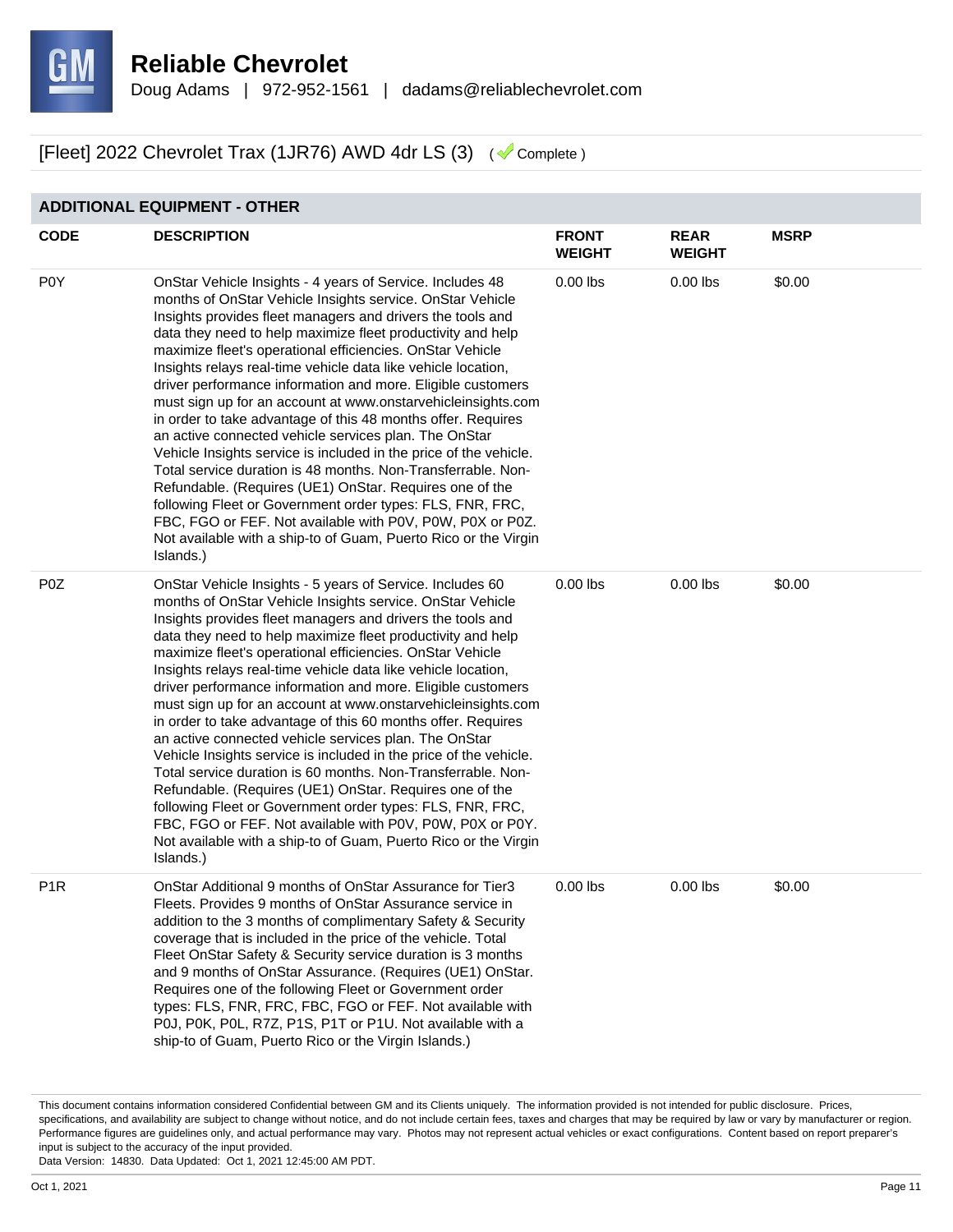

#### **ADDITIONAL EQUIPMENT - OTHER**

| <b>CODE</b>      | <b>DESCRIPTION</b>                                                                                                                                                                                                                                                                                                                                                                                                                                                                                                                                                                                                                                                                                                                                                                                                                                                                                                                                                                                                                                  | <b>FRONT</b><br><b>WEIGHT</b> | <b>REAR</b><br><b>WEIGHT</b> | <b>MSRP</b> |
|------------------|-----------------------------------------------------------------------------------------------------------------------------------------------------------------------------------------------------------------------------------------------------------------------------------------------------------------------------------------------------------------------------------------------------------------------------------------------------------------------------------------------------------------------------------------------------------------------------------------------------------------------------------------------------------------------------------------------------------------------------------------------------------------------------------------------------------------------------------------------------------------------------------------------------------------------------------------------------------------------------------------------------------------------------------------------------|-------------------------------|------------------------------|-------------|
| P <sub>0</sub> Y | OnStar Vehicle Insights - 4 years of Service. Includes 48<br>months of OnStar Vehicle Insights service. OnStar Vehicle<br>Insights provides fleet managers and drivers the tools and<br>data they need to help maximize fleet productivity and help<br>maximize fleet's operational efficiencies. OnStar Vehicle<br>Insights relays real-time vehicle data like vehicle location,<br>driver performance information and more. Eligible customers<br>must sign up for an account at www.onstarvehicleinsights.com<br>in order to take advantage of this 48 months offer. Requires<br>an active connected vehicle services plan. The OnStar<br>Vehicle Insights service is included in the price of the vehicle.<br>Total service duration is 48 months. Non-Transferrable. Non-<br>Refundable. (Requires (UE1) OnStar. Requires one of the<br>following Fleet or Government order types: FLS, FNR, FRC,<br>FBC, FGO or FEF. Not available with P0V, P0W, P0X or P0Z.<br>Not available with a ship-to of Guam, Puerto Rico or the Virgin<br>Islands.) | $0.00$ lbs                    | $0.00$ lbs                   | \$0.00      |
| P <sub>0</sub> Z | OnStar Vehicle Insights - 5 years of Service. Includes 60<br>months of OnStar Vehicle Insights service. OnStar Vehicle<br>Insights provides fleet managers and drivers the tools and<br>data they need to help maximize fleet productivity and help<br>maximize fleet's operational efficiencies. OnStar Vehicle<br>Insights relays real-time vehicle data like vehicle location,<br>driver performance information and more. Eligible customers<br>must sign up for an account at www.onstarvehicleinsights.com<br>in order to take advantage of this 60 months offer. Requires<br>an active connected vehicle services plan. The OnStar<br>Vehicle Insights service is included in the price of the vehicle.<br>Total service duration is 60 months. Non-Transferrable. Non-<br>Refundable. (Requires (UE1) OnStar. Requires one of the<br>following Fleet or Government order types: FLS, FNR, FRC,<br>FBC, FGO or FEF. Not available with P0V, P0W, P0X or P0Y.<br>Not available with a ship-to of Guam, Puerto Rico or the Virgin<br>Islands.) | $0.00$ lbs                    | $0.00$ lbs                   | \$0.00      |
| P <sub>1R</sub>  | OnStar Additional 9 months of OnStar Assurance for Tier3<br>Fleets. Provides 9 months of OnStar Assurance service in<br>addition to the 3 months of complimentary Safety & Security<br>coverage that is included in the price of the vehicle. Total<br>Fleet OnStar Safety & Security service duration is 3 months<br>and 9 months of OnStar Assurance. (Requires (UE1) OnStar.<br>Requires one of the following Fleet or Government order<br>types: FLS, FNR, FRC, FBC, FGO or FEF. Not available with<br>P0J, P0K, P0L, R7Z, P1S, P1T or P1U. Not available with a<br>ship-to of Guam, Puerto Rico or the Virgin Islands.)                                                                                                                                                                                                                                                                                                                                                                                                                        | $0.00$ lbs                    | $0.00$ lbs                   | \$0.00      |

This document contains information considered Confidential between GM and its Clients uniquely. The information provided is not intended for public disclosure. Prices, specifications, and availability are subject to change without notice, and do not include certain fees, taxes and charges that may be required by law or vary by manufacturer or region. Performance figures are guidelines only, and actual performance may vary. Photos may not represent actual vehicles or exact configurations. Content based on report preparer's input is subject to the accuracy of the input provided.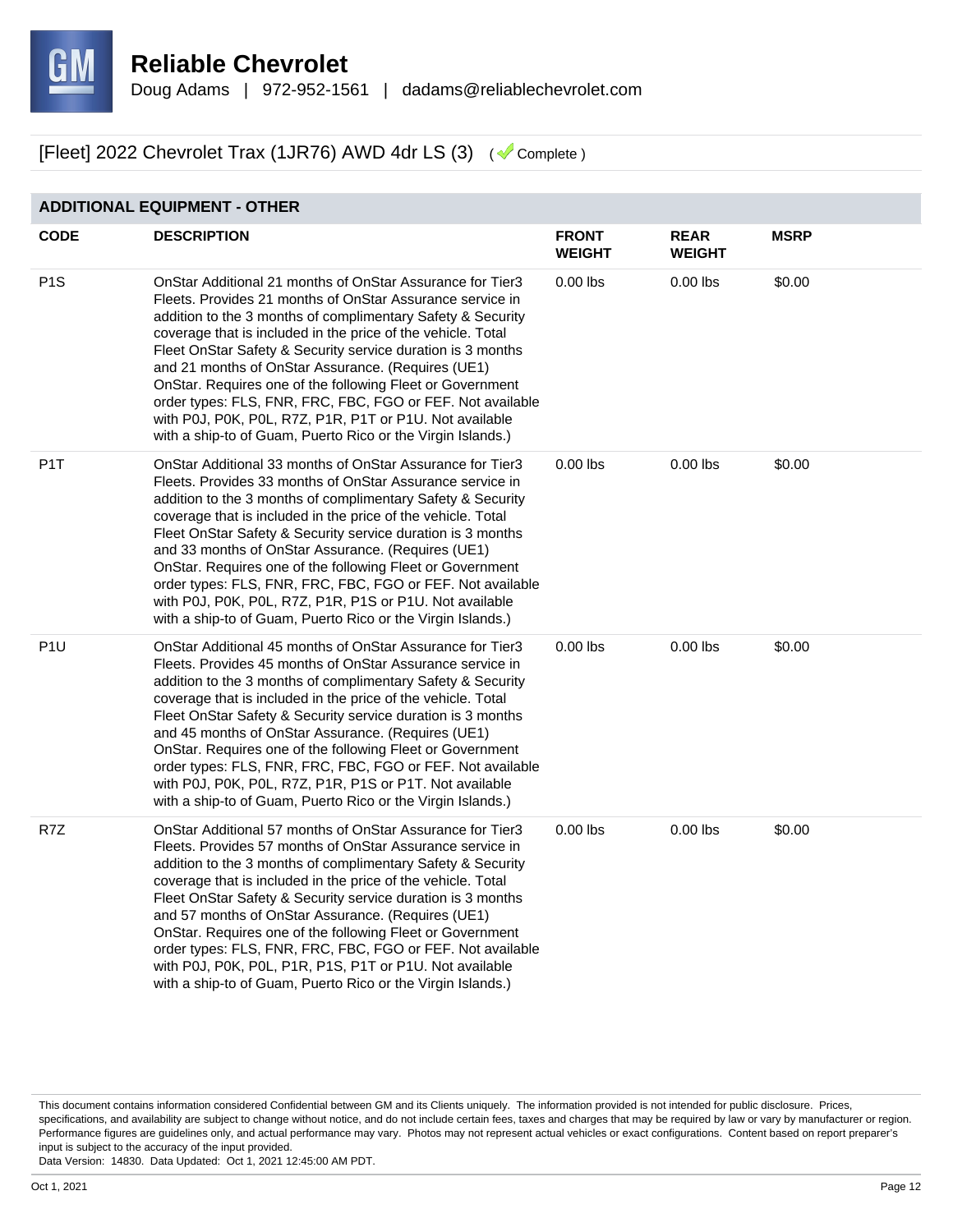

#### **ADDITIONAL EQUIPMENT - OTHER**

| <b>CODE</b>      | <b>DESCRIPTION</b>                                                                                                                                                                                                                                                                                                                                                                                                                                                                                                                                                                                                              | <b>FRONT</b><br>WEIGHT | <b>REAR</b><br><b>WEIGHT</b> | <b>MSRP</b> |
|------------------|---------------------------------------------------------------------------------------------------------------------------------------------------------------------------------------------------------------------------------------------------------------------------------------------------------------------------------------------------------------------------------------------------------------------------------------------------------------------------------------------------------------------------------------------------------------------------------------------------------------------------------|------------------------|------------------------------|-------------|
| P <sub>1</sub> S | OnStar Additional 21 months of OnStar Assurance for Tier3<br>Fleets. Provides 21 months of OnStar Assurance service in<br>addition to the 3 months of complimentary Safety & Security<br>coverage that is included in the price of the vehicle. Total<br>Fleet OnStar Safety & Security service duration is 3 months<br>and 21 months of OnStar Assurance. (Requires (UE1)<br>OnStar. Requires one of the following Fleet or Government<br>order types: FLS, FNR, FRC, FBC, FGO or FEF. Not available<br>with P0J, P0K, P0L, R7Z, P1R, P1T or P1U. Not available<br>with a ship-to of Guam, Puerto Rico or the Virgin Islands.) | $0.00$ lbs             | $0.00$ lbs                   | \$0.00      |
| P <sub>1</sub> T | OnStar Additional 33 months of OnStar Assurance for Tier3<br>Fleets. Provides 33 months of OnStar Assurance service in<br>addition to the 3 months of complimentary Safety & Security<br>coverage that is included in the price of the vehicle. Total<br>Fleet OnStar Safety & Security service duration is 3 months<br>and 33 months of OnStar Assurance. (Requires (UE1)<br>OnStar. Requires one of the following Fleet or Government<br>order types: FLS, FNR, FRC, FBC, FGO or FEF. Not available<br>with P0J, P0K, P0L, R7Z, P1R, P1S or P1U. Not available<br>with a ship-to of Guam, Puerto Rico or the Virgin Islands.) | $0.00$ lbs             | $0.00$ lbs                   | \$0.00      |
| P <sub>1</sub> U | OnStar Additional 45 months of OnStar Assurance for Tier3<br>Fleets. Provides 45 months of OnStar Assurance service in<br>addition to the 3 months of complimentary Safety & Security<br>coverage that is included in the price of the vehicle. Total<br>Fleet OnStar Safety & Security service duration is 3 months<br>and 45 months of OnStar Assurance. (Requires (UE1)<br>OnStar. Requires one of the following Fleet or Government<br>order types: FLS, FNR, FRC, FBC, FGO or FEF. Not available<br>with P0J, P0K, P0L, R7Z, P1R, P1S or P1T. Not available<br>with a ship-to of Guam, Puerto Rico or the Virgin Islands.) | $0.00$ lbs             | $0.00$ lbs                   | \$0.00      |
| R7Z              | OnStar Additional 57 months of OnStar Assurance for Tier3<br>Fleets. Provides 57 months of OnStar Assurance service in<br>addition to the 3 months of complimentary Safety & Security<br>coverage that is included in the price of the vehicle. Total<br>Fleet OnStar Safety & Security service duration is 3 months<br>and 57 months of OnStar Assurance. (Requires (UE1)<br>OnStar. Requires one of the following Fleet or Government<br>order types: FLS, FNR, FRC, FBC, FGO or FEF. Not available<br>with P0J, P0K, P0L, P1R, P1S, P1T or P1U. Not available<br>with a ship-to of Guam, Puerto Rico or the Virgin Islands.) | $0.00$ lbs             | $0.00$ lbs                   | \$0.00      |

This document contains information considered Confidential between GM and its Clients uniquely. The information provided is not intended for public disclosure. Prices, specifications, and availability are subject to change without notice, and do not include certain fees, taxes and charges that may be required by law or vary by manufacturer or region. Performance figures are guidelines only, and actual performance may vary. Photos may not represent actual vehicles or exact configurations. Content based on report preparer's input is subject to the accuracy of the input provided.